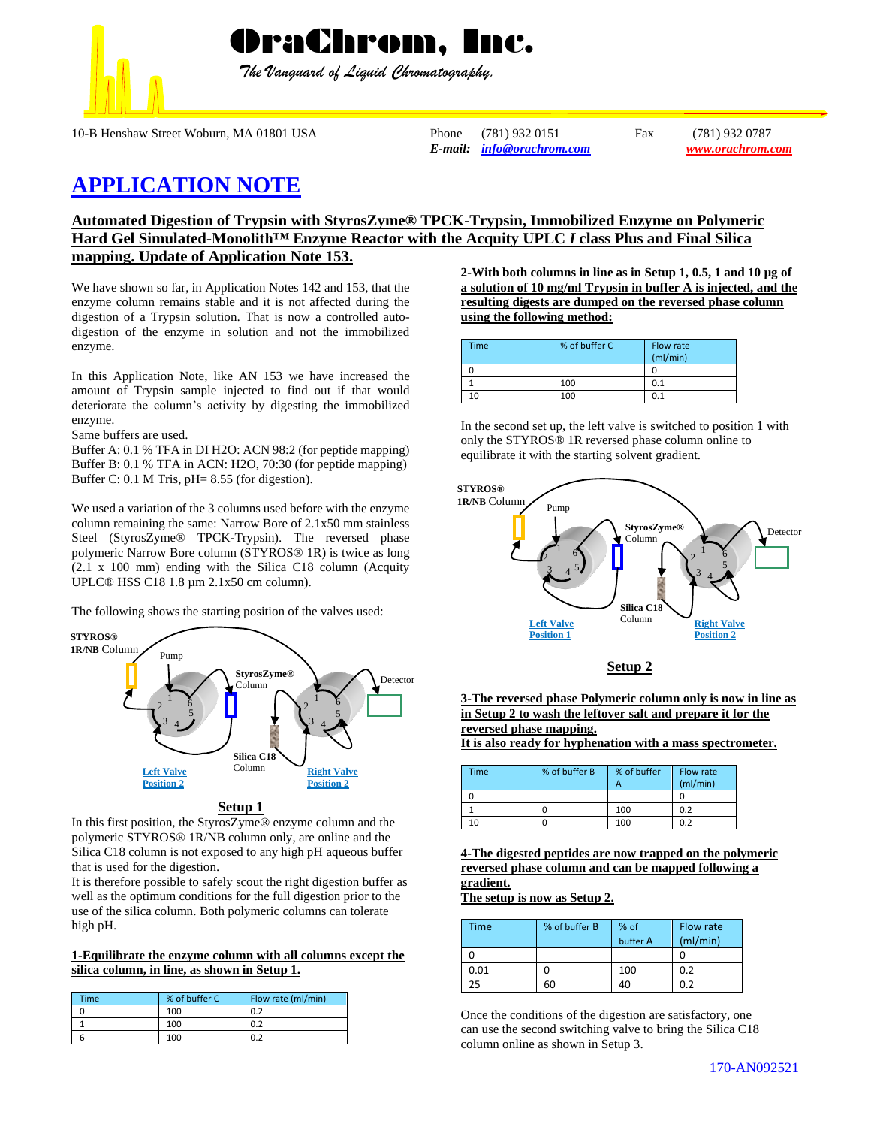

 *The Vanguard of Liquid Chromatography.*

10-B Henshaw Street Woburn, MA 01801 USA Phone (781) 932 0151 Fax (781) 932 0787

*E-mail: [info@orachrom.com](mailto:info@orachrom.com) www.orachrom.com*

# **APPLICATION NOTE**

## **Automated Digestion of Trypsin with StyrosZyme® TPCK-Trypsin, Immobilized Enzyme on Polymeric Hard Gel Simulated-Monolith™ Enzyme Reactor with the Acquity UPLC** *I* **class Plus and Final Silica mapping. Update of Application Note 153.**

We have shown so far, in Application Notes 142 and 153, that the enzyme column remains stable and it is not affected during the digestion of a Trypsin solution. That is now a controlled autodigestion of the enzyme in solution and not the immobilized enzyme.

In this Application Note, like AN 153 we have increased the amount of Trypsin sample injected to find out if that would deteriorate the column's activity by digesting the immobilized enzyme.

Same buffers are used.

Buffer A: 0.1 % TFA in DI H2O: ACN 98:2 (for peptide mapping) Buffer B: 0.1 % TFA in ACN: H2O, 70:30 (for peptide mapping) Buffer C: 0.1 M Tris, pH= 8.55 (for digestion).

We used a variation of the 3 columns used before with the enzyme column remaining the same: Narrow Bore of 2.1x50 mm stainless Steel (StyrosZyme® TPCK-Trypsin). The reversed phase polymeric Narrow Bore column (STYROS® 1R) is twice as long (2.1 x 100 mm) ending with the Silica C18 column (Acquity UPLC® HSS C18 1.8 µm 2.1x50 cm column).

The following shows the starting position of the valves used:



#### **Setup 1**

In this first position, the StyrosZyme® enzyme column and the polymeric STYROS® 1R/NB column only, are online and the Silica C18 column is not exposed to any high pH aqueous buffer that is used for the digestion.

It is therefore possible to safely scout the right digestion buffer as well as the optimum conditions for the full digestion prior to the use of the silica column. Both polymeric columns can tolerate high pH.

#### **1-Equilibrate the enzyme column with all columns except the silica column, in line, as shown in Setup 1.**

| Time | % of buffer C | Flow rate (ml/min) |
|------|---------------|--------------------|
|      | 100           | 0.2                |
|      | 100           | 0.2                |
|      | 100           | 0.2                |

**2-With both columns in line as in Setup 1, 0.5, 1 and 10 µg of a solution of 10 mg/ml Trypsin in buffer A is injected, and the resulting digests are dumped on the reversed phase column using the following method:**

| Time | % of buffer C | Flow rate<br>(mI/min) |
|------|---------------|-----------------------|
|      |               |                       |
|      | 100           | 0.1                   |
| 10   | 100           | 0.1                   |

In the second set up, the left valve is switched to position 1 with only the STYROS® 1R reversed phase column online to equilibrate it with the starting solvent gradient.



**3-The reversed phase Polymeric column only is now in line as in Setup 2 to wash the leftover salt and prepare it for the reversed phase mapping.** 

**It is also ready for hyphenation with a mass spectrometer.** 

| <b>Time</b> | % of buffer B | % of buffer | Flow rate<br>(mI/min) |
|-------------|---------------|-------------|-----------------------|
|             |               |             |                       |
|             |               | 100         | 0.2                   |
| 10          |               | 100         | 0.2                   |

**4-The digested peptides are now trapped on the polymeric reversed phase column and can be mapped following a gradient.**

**The setup is now as Setup 2.**

| Time | % of buffer B | % of<br>buffer A | Flow rate<br>(mI/min) |
|------|---------------|------------------|-----------------------|
|      |               |                  |                       |
| 0.01 |               | 100              | 0.2                   |
| 25   | 60            | 40               | በ ን                   |

Once the conditions of the digestion are satisfactory, one can use the second switching valve to bring the Silica C18 column online as shown in Setup 3.